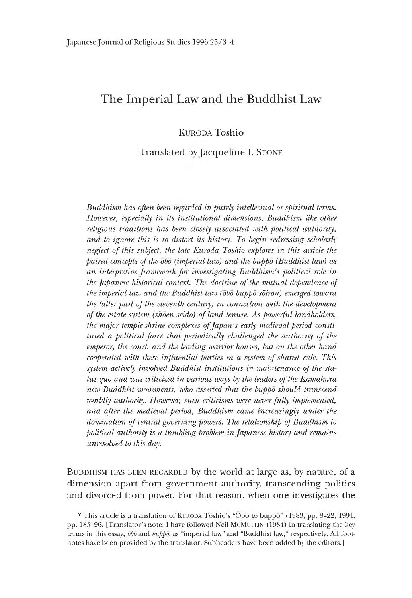# **The Imperial Law and the Buddhist Law**

Kuroda Toshio

Translated by Jacqueline I. Stone

*Buddhism has often been regarded in purely intellectual or spiritual terms. However, especially in its institutional dimensions, Buddhism like other religious traditions has been closely associated with political authority, and to ignore this is to distort its history. To begin redressing scholarly neglect of this subject, the late Kuroda Toshio explores in this article the paired concepts of the obo (imperial law) and the buppo (Buddhist law) as an interpretive framework for investigating Buddhism's political role in the Japanese historical context. The doctrine of the mutual dependence of the imperial law and the Buddhist law (obo buppo sdiron) emerged toward the latter part of the eleventh century, in connection with the development of the estate system (shoen seido) of land tenure. As powerful landholders, the major temple-shrine complexes of Japan's early medieval period constituted a political force that periodically challenged the authority of the emperor, the court, and the leading warrior houses, but on the other hand cooperated with these influential parties in a system of shared rule. This system actively involved Buddhist institutions in maintenance of the status quo and was criticized in various ways by the leaders of the Kamakura new Buddhist movements, who asserted that the buppo should transcend worldly authority. However, such criticisms were never fully implemented, and after the medieval period, Buddhism came increasingly under the domination of central governing powers. The relationship of Buddhism to political authority is a troubling problem in Japanese history and remains unresolved to this day.*

BUDDHISM HAS BEEN REGARDED by the world at large as, by nature, of a dimension apart from government authority, transcending politics and divorced from power. For that reason, when one investigates the

<sup>\*</sup> This article is a translation of KURODA Toshio's "Obo to buppo" (1983, pp. 8–22; 1994, pp. 185-96. [Translator's note: I have followed Neil MCMULLIN (1984) in translating the key terms in this essay, *obo* and *buppo,* as "imperial law" and "Buddhist law," respectively. All footnotes have been provided by the translator. Subheaders have been added by the editors.]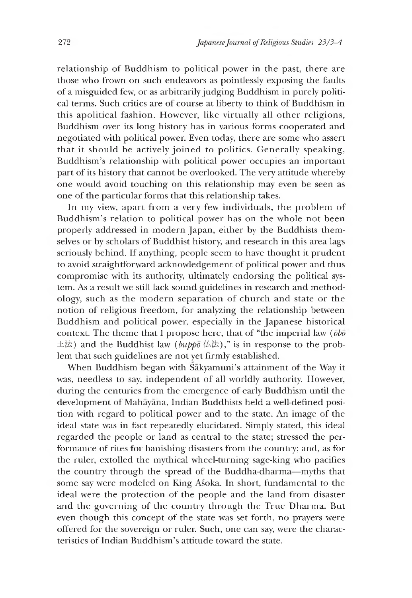relationship of Buddhism to political power in the past, there are those who frown on such endeavors as pointlessly exposing the faults of a misguided few, or as arbitrarily judging Buddhism in purely political terms. Such critics are of course at liberty to think of Buddhism in this apolitical fashion. However, like virtually all other religions, Buddhism over its long history has in various forms cooperated and negotiated with political power. Even today, there are some who assert that it should be actively joined to politics. Generally speaking, Buddhism's relationship with political power occupies an important part of its history that cannot be overlooked. The very attitude whereby one would avoid touching on this relationship may even be seen as one of the particular forms that this relationship takes.

In my view, apart from a very few individuals, the problem of Buddhism's relation to political power has on the whole not been properly addressed in modern Japan, either by the Buddhists themselves or by scholars of Buddhist history, and research in this area lags seriously behind. If anything, people seem to have thought it prudent to avoid straightforward acknowledgement of political power and thus compromise with its authority, ultimately endorsing the political system. As a result we still lack sound guidelines in research and methodology, such as the modern separation of church and state or the notion of religious freedom, for analyzing the relationship between Buddhism and political power, especially in the Japanese historical context. The theme that I propose here, that of "the imperial law *{obo* 王法) and the Buddhist law ( $bupp\bar{o}$  仏法)," is in response to the problem that such guidelines are not yet firmly established.

When Buddhism began with Sakyamuni's attainment of the Way it was, needless to say, independent of all worldly authority. However, during the centuries from the emergence of early Buddhism until the development of Mahayana, Indian Buddhists held a well-defined position with regard to political power and to the state. An image of the ideal state was in fact repeatedly elucidated. Simply stated, this ideal regarded the people or land as central to the state; stressed the performance of rites for banishing disasters from the country; and, as for the ruler, extolled the mythical wheel-turning sage-king who pacifies the country through the spread of the Buddha-dharma—myths that some say were modeled on King Asoka. In short, fundamental to the ideal were the protection of the people and the land from disaster and the governing of the country through the True Dharma. But even though this concept of the state was set forth, no prayers were offered for the sovereign or ruler. Such, one can say, were the characteristics of Indian Buddhism's attitude toward the state.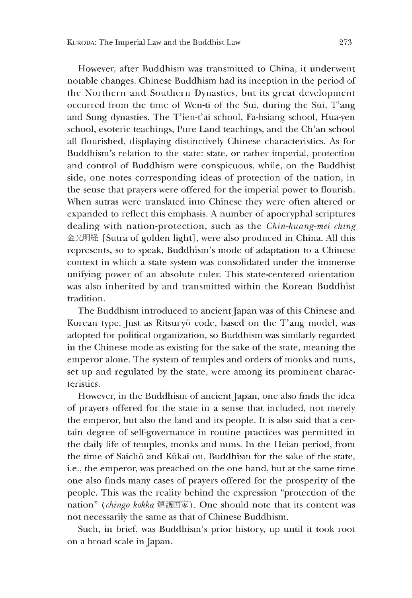However, after Buddhism was transmitted to China, it underwent notable changes. Chinese Buddhism had its inception in the period of the Northern and Southern Dynasties, but its great development occurred from the time of Wen-ti of the Sui, during the Sui, T'ang and Sung dynasties. The T'ien-t'ai school, Fa-hsiang school, Hua-yen school, esoteric teachings, Pure Land teachings, and the Ch'an school all flourished, displaying distinctively Chinese characteristics. As for Buddhism's relation to the state: state, or rather imperial, protection and control of Buddhism were conspicuous, while, on the Buddhist side, one notes corresponding ideas of protection of the nation, in the sense that prayers were offered for the imperial power to flourish. When sutras were translated into Chinese they were often altered or expanded to reflect this emphasis. A number of apocryphal scriptures dealing with nation-protection, such as the *Chin-kuang-mei ching* 金光明経[Sutra of golden light], were also produced in China. All this represents, so to speak, Buddmsm's mode of adaptation to a Chinese context in which a state system was consolidated under the immense unifying power of an absolute ruler. This state-centered orientation was also inherited by and transmitted within the Korean Buddnist tradition.

The Buddhism introduced to ancient Japan was of this Chinese and Korean type. Just as Ritsuryo code, based on the T'ang model, was adopted for political organization, so Buddhism was similarly regarded in the Chinese mode as existing for the sake of the state, meaning the emperor alone. The system of temples and orders of monks and nuns, set up and regulated by the state, were among its prominent characteristics.

However, in the Buddhism of ancient Japan, one also finds the idea of prayers offered for the state in a sense that included, not merely the emperor, but also the land and its people. It is also said that a certain degree of self-governance in routine practices was permitted m the daily life of temples, monks and nuns. In the Heian period, from the time of Saicho and Kukai on, Buddhism for the sake of the state, i.e., the emperor, was preached on the one hand, but at the same time one also finds many cases of prayers offered for the prosperity of the people. This was the reality behind the expression "protection of the nation" (chingo kokka 鎮護国家). One should note that its content was not necessarily the same as that of Chinese Buddhism.

Such, in brief, was Buddhism's prior history, up until it took root on a broad scale in Japan.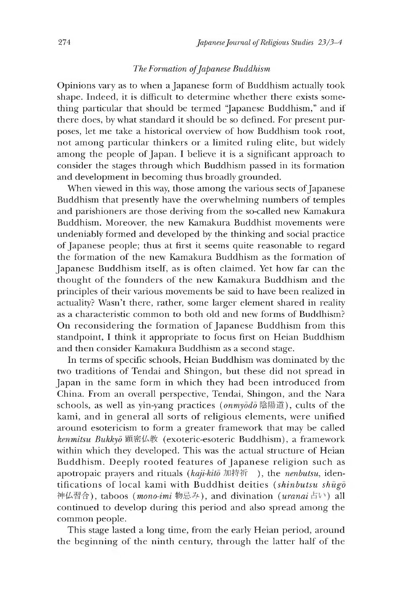## *The Formation of Japanese Buddhism*

Opinions vary as to when a Japanese form of Buddhism actually took shape. Indeed, it is difficult to determine whether there exists something particular that should be termed "Japanese Buddhism," and if there does, by what standard it should be so defined. For present purposes, let me take a historical overview of how Buddhism took root, not among particular thinkers or a limited ruling elite, but widely among the people of Japan. I believe it is a significant approach to consider the stages through which Buddhism passed in its formation and development in becoming thus broadly grounded.

When viewed in this way, those among the various sects of Japanese Buddhism that presently have the overwhelming numbers of temples and parishioners are those deriving from the so-called new Kamakura Buddhism. Moreover, the new Kamakura Buddhist movements were undeniably formed and developed by the thinking and social practice of Japanese people; thus at first it seems quite reasonable to regard the formation of the new Kamakura Buddhism as the formation of Japanese Buddhism itself, as is often claimed. Yet how far can the thought of the founders of the new Kamakura Buddhism and the principles of their various movements be said to have been realized in actuality? Wasn't there, rather, some larger element shared in reality as a characteristic common to both old and new forms of Buddhism? On reconsidering the formation of Japanese Buddhism from this standpoint, I think it appropriate to focus first on Heian Buddhism and then consider Kamakura Buddhism as a second stage.

In terms of specific schools, Heian Buddhism was dominated by the two traditions of Tendai and Shingon, but these did not spread in Japan in the same form in which they had been introduced from China. From an overall perspective, Tendai, Shingon, and the Nara schools, as well as yin-yang practices *(onmyodo* 陰陽道), cults of the kami, and in general all sorts of religious elements, were unified around esotericism to form a greater framework that may be called kenmitsu Bukkyō 顕密仏教 (exoteric-esoteric Buddhism), a framework within which they developed. This was the actual structure of Heian Buddhism. Deeply rooted features of Japanese religion such as apotropaic prayers and rituals (kaji-kitō 加持祈 ), the *nenbutsu*, identifications of local kami with Buddhist deities *(shinbutsu shugo* 神仏習合), taboos *(mono-imi* 物忌み), and divination *(uranai* 占い) all continued to develop during this period and also spread amone the common people.

This stage lasted a long time, from the early Heian period, around the beginning of the ninth century, through the latter half of the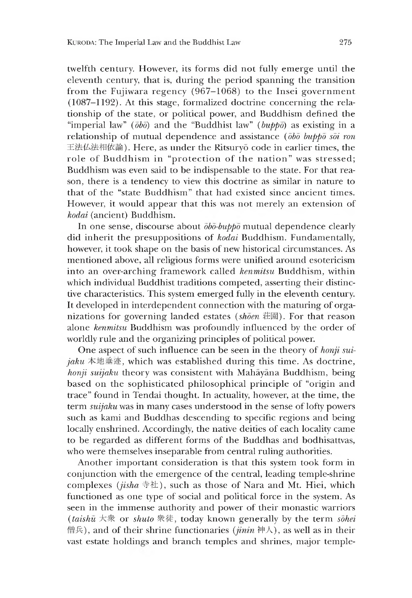twelfth century. However, its forms did not fully emerge until the eleventh century, that is, during the period spanning the transition from the Fujiwara regency  $(967-1068)$  to the Insei government  $(1087-1192)$ . At this stage, formalized doctrine concerning the relationship of the state, or political power, and Buddhism defined the "imperial law" *(obo)* and the "Buddhist law" (*buppo)* as existing in a relationship of mutual dependence and assistance *{obo buppo soi ron* 王法仏法相依論). Here, as under the Ritsuryō code in earlier times, the role of Buddhism in "protection of the nation" was stressed; Buddnism was even said to be indispensable to the state. For that reason, there is a tendency to view this doctrine as similar in nature to that of the "state Buddhism" that had existed since ancient times. However, it would appear that this was not merely an extension of *kodai* (ancient) Buddhism.

In one sense, discourse about *obo-buppo* mutual dependence clearly did inherit the presuppositions of *kodai* Buddhism. Fundamentally, however, it took shape on the basis of new historical circumstances. As mentioned above, all relieious forms were unified around esotericism into an over-arching framework called *kenmitsu* Buddhism, within which individual Buddhist traditions competed, asserting their distinctive characteristics. This system emerged fully in the eleventh century. It developed in interdependent connection with the maturing of organizations for governine landed estates *{shoen* 荘園) . For that reason alone *kenmitsu* Buddhism was profoundly influenced by the order of worldly rule and the organizing principles of political power.

One aspect of such influence can be seen in the theory of *honji suijaku*  $\bar{x}$   $\bar{y}$   $\bar{z}$ , which was established during this time. As doctrine, *honji suijaku* theory was consistent with Mahāyāna Buddhism, being based on the sophisticated philosophical principle of "origin and trace" found m Tendai thought. In actuality, however, at the time, the term *suijaku* was in many cases understood in the sense of lofty powers such as kami and Buddhas descending to specific regions and being locally enshrined. Accordingly, the native deities of each locality came to be regarded as different forms of the Buddhas and bodhisattvas, who were themselves inseparable from central ruling authorities.

Another important consideration is that this system took form in conjunction with the emergence of the central, leading temple-shrine complexes *(jisha* 寺社), such as those of Nara and Mt. Hiei, which functioned as one type of social and political force in the system. As seen in the immense authority and power of their monastic warriors (*taishu* 大衆 or *shuto* 衆徒,today known generally by the term *sohei* 僧兵), and of their shrine functionaries *(jinin* 神人), as well as in their vast estate holdings and branch temples and shrines, major temple-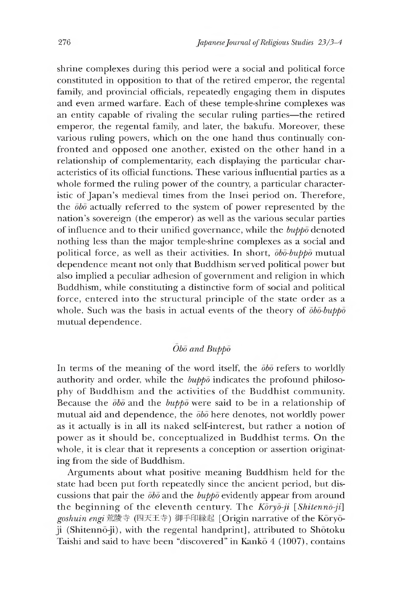shrine complexes during this period were a social and political force constituted in opposition to that of the retired emperor, the regental family, and provincial officials, repeatedly engaging them in disputes and even armed warfare. Each of these temple-shrine complexes was an entity capable of rivaling the secular ruling parties—the retired emperor, the regental family, and later, the bakufu. Moreover, these various ruling powers, which on the one hand thus continually confronted and opposed one another, existed on the other hand in a relationship of complementarity, each displaying the particular characteristics of its official functions. These various influential parties as a whole formed the ruling power of the country, a particular characteristic of Japan's medieval times from the Insei period on. Therefore, the *obo* actually referred to the system of power represented by the nation's sovereign (the emperor) as well as the various secular parties of influence and to their unified governance, while the *buppo* denoted nothing less than the major temple-shrine complexes as a social and political force, as well as their activities. In short, *obo-buppo* mutual dependence meant not only that Buddhism served political power but also implied a peculiar adhesion of government and religion in which Buddhism, while constituting a distinctive form of social and political force, entered into the structural principle of the state order as a whole. Such was the basis in actual events of the theory of *obo-buppo* mutual dependence.

# *Obo and Buppo*

In terms of the meaning of the word itself, the *obo* refers to worldly authority and order, while the *buppo* indicates the profound philosophy of Buddhism and the activities of the Buddhist community. Because the *obo* and the *buppo* were said to be in a relationship of mutual aid and dependence, the *obo* here denotes, not worldly power as it actually is in all its naked self-interest, but rather a notion of power as it should be, conceptualized in Buddhist terms. On the whole, it is clear that it represents a conception or assertion originating from the side of Buddhism.

Arguments about what positive meaning Buddhism held for the state had been put forth repeatedly since the ancient period, but discussions that pair the *obo* and the *buppo* evidently appear from around the beginning of the eleventh century. The *Koryo-ji [Shitennd-ji]* goshuin engi 荒陵寺 (四天王寺) 御手印縁起 [Origin narrative of the Koryoji (Shitennō-ji), with the regental handprint], attributed to Shōtoku Taishi and said to have been "discovered" in Kanko 4 (1007), contains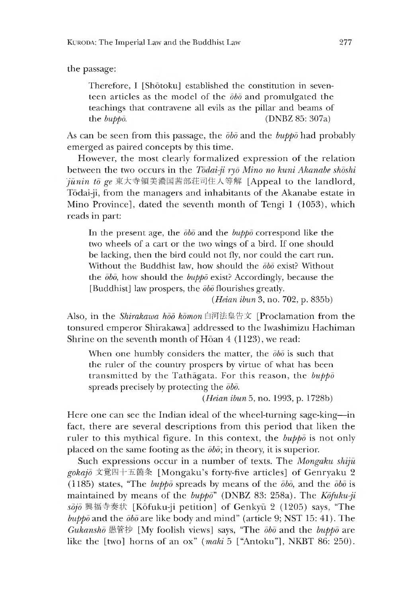the passage:

Therefore, I [Shōtoku] established the constitution in seventeen articles as the model of the *obo* and promulgated the teachings that contravene all evils as the pillar and beams of the *buppo.* (DNBZ 85: 307a)

As can be seen from this passage, the *obo* and the *buppo* had probably emerged as paired concepts by this time.

However, the most clearly formalized expression of the relation between the two occurs in the *Todai-ji ryd Mino no kuni Akanabe shoshi*  $j$ unin to ge 東大寺領美濃国茜部荘司住人等解 [Appeal to the landlord, Tōdai-ji, from the managers and inhabitants of the Akanabe estate in Mino Province], dated the seventh month of Tengi 1 (1053), which reads in part:

In the present age, the *obo* and the *buppo* correspond like the two wheels of a cart or the two wings of a bird. If one should be lacking, then the bird could not fly, nor could the cart run. Without the Buddhist law, how should the *obo* exist? Without the  $\overline{obo}$ , how should the *buppo* exist? Accordingly, because the [Buddnist] law prospers, the *obo* flourishes greatly.

*(Heian ibun* 3, no. 702, p. 835b)

Also, in the *Shirakawa hod komon* 白河法皇告文[Proclamation from the tonsured emperor Snirakawa] addressed to the Iwashimizu Hachiman Shrine on the seventh month of Hoan  $4(1123)$ , we read:

When one humbly considers the matter, the  $\bar{\theta}b\bar{\theta}$  is such that the ruler of the country prospers by virtue of what has been transmitted by the Tathagata. For this reason, the *buppo* spreads precisely by protecting the *obo.*

*(Heian ibun 5,* no. 1993, p. 1728b)

Here one can see the Indian ideal of the wheel-turning sage-king—in fact, there are several descriptions from this period that liken the ruler to this mythical figure. In this context, the *buppo* is not only placed on the same footing as the *obo;* in theory, it is superior.

Such expressions occur in a number of texts. The *Mongaku shiju gokajo* 文覚四十五箇条[Mongaku's forty-five articles] of Genryaku 2 ( 185) states, "The *buppo* spreads by means of the *obo,* and the *obo* is maintained by means of the *buppo"* (DNBZ 83: 258a). The *Kofuku-ji sojo* 興 福 寺 奏 状 [Kofuku-ji petition] of Genkyu 2 (1205) says, "The  $bupp\bar{o}$  and the  $\bar{o}b\bar{o}$  are like body and mind" (article 9; NST 15: 41). The *Gukansho 愚管抄*[My foolish viewsJ says, "The *obo* and the *buppo* are like the [two] horns of an ox" *(maki* 5 ["Antoku"], NKBT 86: 250).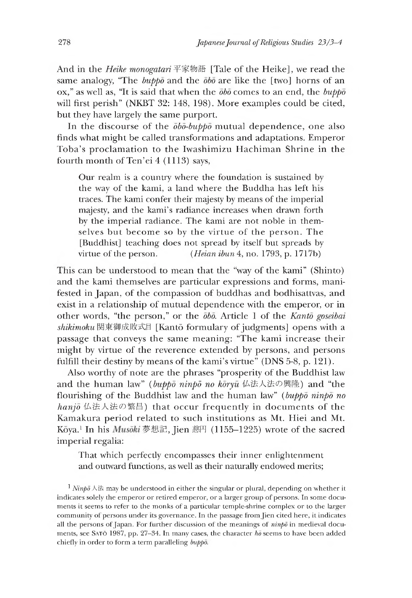And in the *Heike monogatari* 平家物語 [Tale of the Heike], we read the same analogy, "Ihe *buppo* and the *obo* are like the [two] horns of an ox," as well as, "It is said that when the *obo* comes to an end, the *buppo* will first perish" (NKBT 32:148, 198). More examples could be cited, but they have largely the same purport.

In the discourse of the *obo-buppo* mutual dependence, one also finds what might be called transformations and adaptations. Emperor Toba's proclamation to the Iwashimizu Hachiman Shrine in the fourth month of Ten'ei 4 (1113) says,

Our realm is a country where the foundation is sustained by the way of the kami, a land where the Buddha has left his traces. The kami confer their majesty by means of the imperial majesty, and the kami's radiance increases when drawn forth by the imperial radiance. The kami are not noble in themselves but become so by the virtue of the person. The [Buddhist] teaching does not spread by itself but spreads by virtue of the person. *(Heian ibun* 4, no. 1793, p. 1717b)

Ihis can be understood to mean that the "way of the kami" (Shinto) and the kami themselves are particular expressions and forms, manifested in Japan, of the compassion of buddhas and bodhisattvas, and exist in a relationship of mutual dependence with the emperor, or in other words, "the person," or the  $\overline{\phi}b\overline{b}$ . Article 1 of the *Kanto goseibai shikimoku* 関東御成敗式目[Kant6 formulary of judements] opens with a passage that conveys the same meaning: "The kami increase their might by virtue of the reverence extended by persons, and persons fulfill their destiny by means of the kami's virtue" (DNS 5-8, p.  $121$ ).

Also worthy of note are the phrases "prosperity of the Buddhist law and the human law" (buppo ninpo no koryu 仏法人法の興隆) and "the flourishing of the Buddhist law and the human law" *(buppo ninbo no* hanjo 仏法人法の繁昌) that occur frequently in documents of the Kamakura period related to such institutions as Mt. Hiei and Mt. Kōya.<sup>1</sup> In his Musōki 夢想記, Jien 慈円 (1155-1225) wrote of the sacred imperial regalia:

That which perfectly encompasses their inner enlightenment and outward functions, as well as their naturally endowed merits;

<sup>1</sup> *Ninp* $\bar{\theta}$   $\wedge$   $\#$  may be understood in either the singular or plural, depending on whether it indicates solely the emperor or retired emperor, or a larger group of persons. In some documents it seems to refer to the monks of a particular temple-shrine complex or to the larger community of persons under its governance. In the passage from Jien cited here, it indicates all the persons of Japan. For further discussion of the meanings of *ninpd* in medieval documents, see SATO 1987, pp. 27-34. In many cases, the character  $h\bar{\delta}$  seems to have been added chiefly in order to form a term paralleling *buppo.*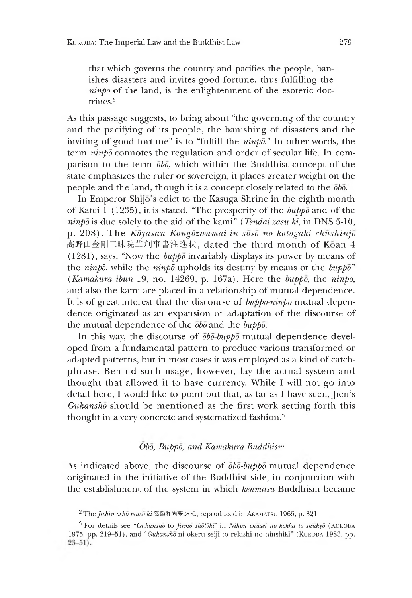that which governs the country and pacifies the people, banishes disasters and invites good fortune, thus fulfilling the  $n$ *inpo* of the land, is the enlightenment of the esoteric doctrines.2

As this passage suggests, to bring about "the governing of the country and the pacifying of its people, the banishing of disasters and the inviting of good fortune" is to "fulfill the *ninpd."* In other words, the term *ninpd* connotes the regulation and order of secular life. In comparison to the term *obo,* which within the Buddhist concept of the state emphasizes the ruler or sovereign, it places greater weight on the people and the land, though it is a concept closely related to the *obo.*

In Emperor Shijō's edict to the Kasuga Shrine in the eighth month of Katei 1 (1235), it is stated, "The prosperity of the  $b\nu p\bar{p}$  and of the *ninpd* is due solely to the aid of the kami" *(Tendai zasu ki,* in DNS 5-10, p. 208). The *Kdyasan Kongdzanmai-in soso no kotogaki chushinjo* 高野山金剛三昧院草創事書注進状,dated the third month of Koan 4 (1281), says, "Now the *buppo* invariably displays its power by means of the *ninpd,* while the *ninpd* upholds its destiny by means of the *buppo" (Kamakura ibun* 19 no. 14269, p. 167a). Here the *buppo,* the *ninpd,* and also the kami are placed in a relationship of mutual dependence. It is of great interest that the discourse of *buppd-ninpd* mutual dependence originated as an expansion or adaptation of the discourse of the mutual dependence of the *obo* and the *buppo.*

In this way, the discourse of *obo-buppo* mutual dependence developed from a fundamental pattern to produce various transformed or adapted patterns, but in most cases it was employed as a kind of catchphrase. Behind such usage, however, lay the actual system and thought that allowed it to have currency. While I will not go into detail here, I would like to point out that, as far as I have seen, Jien's *Gukansho* should be mentioned as the first work setting forth this thought in a very concrete and systematized fashion.<sup>3</sup>

# *Obo, Buppo, and Kamakura Buddhism*

As indicated above, the discourse of *obo-buppo* mutual dependence originated in the initiative of the Buddnist side, in conjunction with the establishment of the system in which *kenmitsu* Buddhism became

<sup>&</sup>lt;sup>2</sup> The *Jichin osho muso ki* 慈鎭和尚夢想記, reproduced in AKAMATSU 1965, p. 321.

<sup>&</sup>lt;sup>3</sup> For details see *"Gukansho* to *Jinno shotoki"* in *Nihon chusei no kokka to shukyo* (KURODA 1975, pp. 219-51), and "Gukansho ni okeru seiji to rekishi no ninshiki" (KURODA 1983, pp.  $23 - 51$ .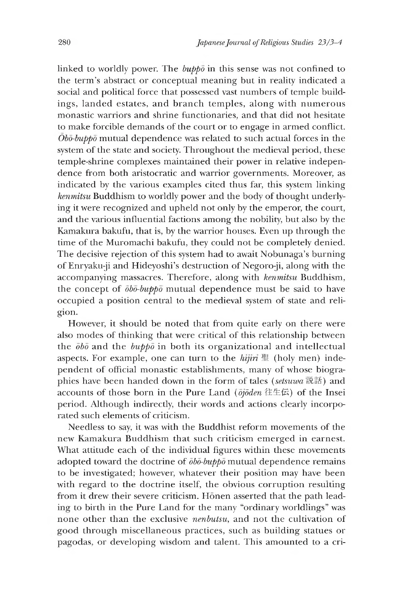linked to worldly power. The *buppo* in this sense was not confined to the term's abstract or conceptual meaning but in reality indicated a social and political force that possessed vast numbers of temple buildings, landed estates, and branch temples, along with numerous monastic warriors and shrine functionaries, and that did not hesitate to make forcible demands of the court or to engage in armed conflict. *Obo-buppo* mutual dependence was related to such actual forces in the system of the state and society. Throughout the medieval period, these temple-shrine complexes maintained their power in relative independence from both aristocratic and warrior governments. Moreover, as indicated by the various examples cited thus far, this system linking *kenmitsu* Buddhism to worldly power and the body of thought underlying it were recognized and upheld not only by the emperor, the court, and the various influential factions among the nobility, but also by the Kamakura bakufu, that is, by the warrior houses. Even up through the time of the Muromachi bakufu, they could not be completely denied. The decisive rejection of this system had to await Nobunaga's burning of Enryaku-ji and Hideyoshi's destruction of Negoro-ji, along with the accompanying massacres. Therefore, along with *kenmitsu* Buddhism, the concept of *obo-buppo* mutual dependence must be said to have occupied a position central to the medieval system of state and religion.

However, it should be noted that from quite early on there were also modes of thinking that were critical of this relationship between the *obo* and the *buppo* in both its organizational and intellectual aspects. For example, one can turn to the  $hijii$   $\mathbb{E}$  (holy men) independent of official monastic establishments, many of whose biographies have been handed down in the form of tales *(setsuwa* 説話) and accounts of those born in the Pure Land ( $\bar{o}j\bar{o}den$  往生伝) of the Insei period. Although indirectly, their words and actions clearly incorporated such elements of criticism.

Needless to say, it was with the Buddhist reform movements of the new Kamakura Buddhism that such criticism emerged in earnest. What attitude each of the individual figures within these movements adopted toward the doctrine of *obo-buppo* mutual dependence remains to be investigated; however, whatever their position may have been with regard to the doctrine itself, the obvious corruption resulting from it drew their severe criticism. Honen asserted that the path leading to birth in the Pure Land for the many "ordinary worldlings" was none other than the exclusive *nenbutsu,* and not the cultivation of eood through miscellaneous practices, such as buildine statues or pagodas, or developing wisdom and talent. This amounted to a cri-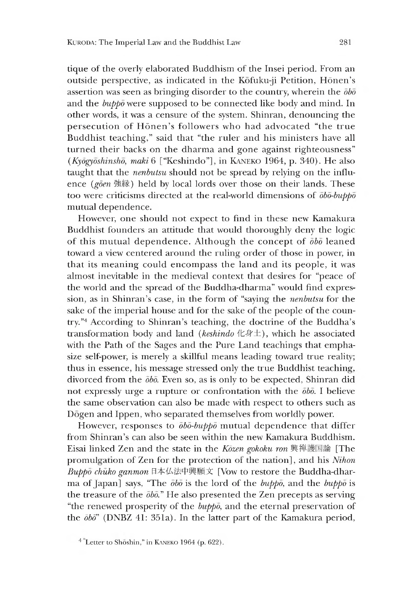tique of the overly elaborated Buddhism of the Insei period. From an outside perspective, as indicated in the Kōfuku-ji Petition, Hōnen's assertion was seen as bringing disorder to the country, wherein the *obo* and the *buppo* were supposed to be connected like body and mind. In other words, it was a censure of the system. Shinran, denouncing the persecution of Hōnen's followers who had advocated "the true Buddhist teaching," said that "the ruler and his ministers have all turned their backs on the dharma and gone against righteousness" *(Kyōgyōshinshō, maki* 6 ["Keshindo"], in KANEKO 1964, p. 340). He also taught that the *nenbutsu* should not be spread by relying on the influence (goen 強縁) held by local lords over those on their lands. These too were criticisms directed at the real-world dimensions of *obo-buppo* mutual dependence.

However, one should not expect to find in these new Kamakura Buddhist founders an attitude that would thoroughly deny the logic of this mutual dependence. Although the concept of *obo* leaned toward a view centered around the ruling order of those in power, in that its meaning could encompass the land and its people, it was almost inevitable in the medieval context that desires for "peace of the world and the spread of the Buddha-dharma" would find expression, as in Shinran's case, in the form of "saying the *nenbutsu* for the sake of the imperial house and for the sake of the people of the country."<sup>4</sup> According to Shinran's teaching, the doctrine of the Buddha's transformation body and land (keshindo 化身土), which he associated with the Path of the Sages and the Pure Land teachings that emphasize self-power, is merely a skillful means leading toward true reality; thus in essence, his message stressed only the true Buddhist teaching, divorced from the *obo.* Even so, as is only to be expected, Shinran did not expressly urge a rupture or confrontation with the *obo.* I believe the same observation can also be made with respect to others such as Dogen and Ippen, who separated themselves from worldly power.

However, responses to *obo-buppo* mutual dependence that differ from Shinran's can also be seen within the new Kamakura Buddhism. Eisai linked Zen and the state in the *Kozen gokoku ron* 興禅護国論 [The promulgation of Zen for the protection of the nation], and his *Nihon Buppo chuko ganmon* 日本仏法中興願文[Vow to restore the Buddha-dharma of Japan] says, "The *obo* is the lord of the *buppo,* and the *buppo* is the treasure of the  $\bar{b}b\bar{b}$ ." He also presented the Zen precepts as serving "the renewed prosperity of the *buppo,* and the eternal preservation of the *dbd"* (DNBZ 41:351a). In the latter part of the Kamakura period,

 $4$  Letter to Shōshin," in KANEKO 1964 (p. 622).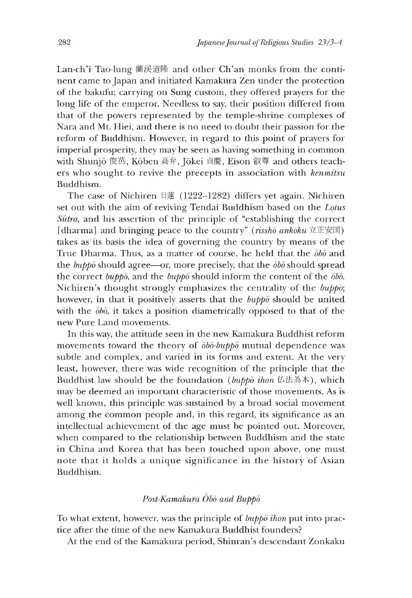Lan-ch'i Tao-lung 蘭渓道隆 and other Ch'an monks from the continent came to Japan and initiated Kamakura Zen under the protection of the bakufu; carrying on Sune custom, they offered prayers for the lone life of the emperor. Needless to say, their position differed from that of the powers represented by the temple-shrine complexes of Nara and Mt. Hiei, and there is no need to doubt their passion for the reform of Buddhism. However, in regard to this point of prayers for imperial prosperity, they may be seen as having something in common with Shunjō 俊芿, Kōben 高弁, Jōkei 貞慶, Eison 叡尊 and others teachers who soueht to revive the precepts in association with *kenmitsu* Buddhism.

The case of Nichiren 日蓮(1222-1282) differs yet again. Nichiren set out with the aim of reviving Tendai Buddhism based on the *Lotus Sutra,* and his assertion of the principle of "establishing the correct [dharma] and bringing peace to the country<sup>"</sup> (rissho ankoku 立正安国) takes as its basis the idea of governing the country by means of the True Dharma. Thus, as a matter of course, he held that the *obo* and the *buppo* should agree—or, more precisely, that the *obo* should spread the correct *buppo,* and the *buppo* should inform the content of the *obo.* Nichiren's thought strongly emphasizes the centrality of the *buppo*; however, in that it positively asserts that the *buppo* should be united with the  $\bar{\phi}b\bar{\phi}$ , it takes a position diametrically opposed to that of the new Pure Land movements.

In this way, the attitude seen in the new Kamakura Buddhist reform movements toward the theory of *obo-buppo* mutual dependence was subtle and complex, and varied in its forms and extent. At the very least, however, there was wide recognition of the principle that the Buddhist law should be the foundation (*buppo ihon* 仏法為本), which may be deemed an important characteristic of those movements. As is well known, this principle was sustained by a broad social movement among the common people and, in this regard, its significance as an intellectual achievement of the age must be pointed out. Moreover, when compared to the relationship between Buddhism and the state in China and Korea that has been touched upon above, one must note that it holds a unique significance in the history of Asian Buddhism.

### *Post-Kamakura Obo and Buppo*

To what extent, however, was the principle of *buppo ihon* put into practice after the time of the new Kamakura Buddhist founders?

At the end of the Kamakura period, Shinran's descendant Zonkaku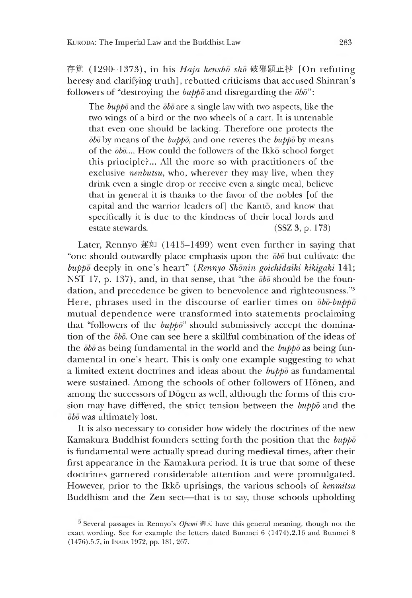存覚 (1290-1373), in his *Haja kenshō shō* 破邪顕正抄 [On refuting heresy and clarifying truth], rebutted criticisms that accused Shinran's followers of "destroying the *buppo* and disregarding the *dbd":*

The *buppo* and the *obo* are a single law with two aspects, like the two wings of a bird or the two wheels of a cart. It is untenable that even one should be lacking. Therefore one protects the  $\bar{a}b\bar{b}$  by means of the *bupp* $\bar{b}$ , and one reveres the *bupp* $\bar{b}$  by means of the  $\bar{\theta}b\bar{\theta}...$  How could the followers of the Ikko school forget this principle?... All the more so with practitioners of the exclusive *nenbutsu,* who, wherever they may live, when they drink even a single drop or receive even a single meal, believe that in general it is thanks to the favor of the nobles [of the capital and the warrior leaders of] the Kanto, and know that specifically it is due to the kindness of their local lords and estate stewards. (SSZ 3, p. 173)

Later, Rennyo 蓮如 (1415-1499) went even further in saying that "one should outwardly place emphasis upon the *obo* but cultivate the *buppo* deeply in one's heart" *(Rennyo Shonin goichidaiki kikigaki* 141; NST 17, p. 137), and, in that sense, that "the  $\bar{\phi}b\bar{\phi}$  should be the foundation, and precedence be given to benevolence and righteousness."<sup>5</sup> Here, phrases used in the discourse of earlier times on *obo-buppo* mutual dependence were transformed into statements proclaiming that "followers of the *buppo*" should submissively accept the domination of the *obo.* One can see here a skillful combination of the ideas of the *obo* as being fundamental in the world and the *buppo* as being fundamental in one's heart. This is only one example suggesting to what a limited extent doctrines and ideas about the *buppo* as fundamental were sustained. Among the schools of other followers of Honen, and among the successors of Dogen as well, although the forms of this erosion may have differed, the strict tension between the *buppo* and the *obo* was ultimately lost.

It is also necessary to consider how widely the doctrines of the new Kamakura Buddhist founders setting forth the position that the *buppo* is fundamental were actually spread during medieval times, after their first appearance in the Kamakura period. It is true that some of these doctrines garnered considerable attention and were promulgated. However, prior to the Ikko uprisings, the various schools of *kenmitsu* Buddhism and the Zen sect-that is to say, those schools upholding

 $\overline{5}$  Several passages in Rennyo's *Ofumi* 御文 have this general meaning, though not the exact wording. See for example the letters dated Bunmei 6 (1474).2.16 and Bunmei 8 (1476) .5.7, in INABA 1972, pp. 181, 267.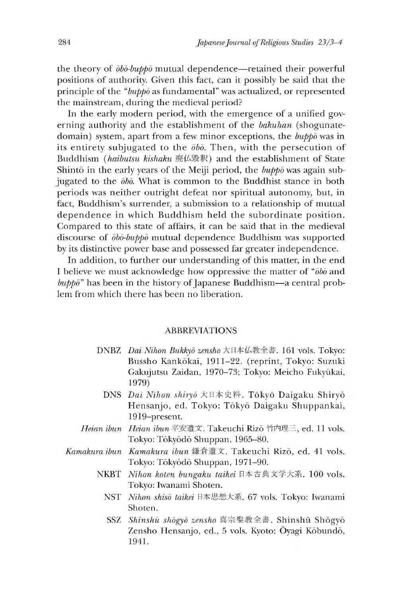the theory of *obo-buppo* mutual dependence—retained their powerful positions of authority. Given this fact, can it possibly be said that the principle of the *"buppo* as fundamental" was actualized, or represented the mainstream, during the medieval period?

In the early modern period, with the emergence of a unified governing authority and the establishment of the *bakuhan* (shogunatedomain) system, apart from a few minor exceptions, the *buppo* was in its entirety subjugated to the  $\bar{ob}\bar{o}$ . Then, with the persecution of Buddhism (*haibutsu kishaku* 廃仏毀釈)and the establishment of State Shinto in the early years of the Meiji period, the *buppo* was again subjugated to the *obo.* What is common to the Buddhist stance in both periods was neither outright defeat nor spiritual autonomy, but, in fact, Buddhism's surrender, a submission to a relationship of mutual dependence in which Buddhism held the subordinate position. Compared to this state of affairs, it can be said that in the medieval discourse of *obo-buppo* mutual dependence Buddhism was supported by its distinctive power base and possessed far greater independence.

In addition, to further our understanding of this matter, in the end I believe we must acknowledge how oppressive the matter of " $\bar{o}b\bar{o}$  and *buppd"* has been in the history of Japanese Buddnism—a central problem from which there has been no liberation.

#### ABBREVIATIONS

- **DNBZ** *Dai Nihon Bukkyō zensho* 大日本仏教全書. 161 vols. Tokyo: Bussho Kankokai, 1911-22. (reprint, Tokyo: Suzuki Gakujutsu Zaidan, 1970-73; Tokyo: Meicho Fukyūkai, 1979)
	- DNS *Dai Nihon shiryō* 大日本史料. Tōkyō Daigaku Shiryō Hensanjo, ed. Tokyo: Tokyo Daigaku Shuppankai, 1919-present.
- *Heian ibun Heian ibun* 平安遺文. Takeuchi Rizo 竹内理三,ed.11 vols. Tokyo: Tokyodo Shuppan, 1965-80.
- *Kamakura ibun Kamakura ibun* 錄食退文. Takeucni Rizo, ed. 41 vols. Tokyo: Tokyodo Shuppan, 1971-90.
	- *Nihon koten bungaku taikei* 日本古典文学大系. 100 vols. NKBT Tokyo: Iwanami Shoten.
		- *Nihon shiso taikei* 日本思想大系. 67 vols. Tokyo: Iwanami NSTshoten.
		- SSZ *Shinshu shogyo zensho* 真宗聖教全書. Shinshii Shogyo Zensho Hensanjo, ed., 5 vols. Kyoto: Oyagi Kobundo, 1941.